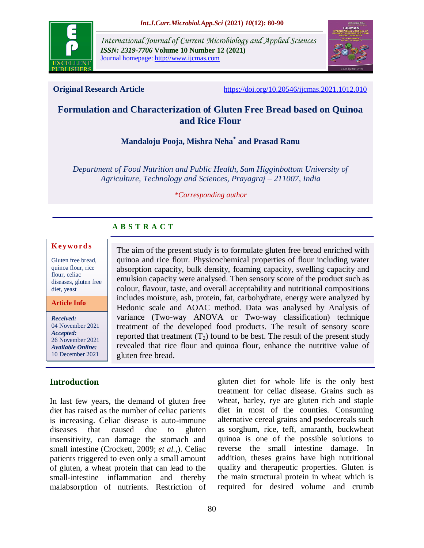

*International Journal of Current Microbiology and Applied Sciences ISSN: 2319-7706* **Volume 10 Number 12 (2021)**  Journal homepage: http://www.ijcmas.com



**Original Research Article** <https://doi.org/10.20546/ijcmas.2021.1012.010>

# **Formulation and Characterization of Gluten Free Bread based on Quinoa and Rice Flour**

# **Mandaloju Pooja, Mishra Neha\* and Prasad Ranu**

*Department of Food Nutrition and Public Health, Sam Higginbottom University of Agriculture, Technology and Sciences, Prayagraj – 211007, India*

#### *\*Corresponding author*

# **A B S T R A C T**

### **K ey w o rd s**

Gluten free bread, quinoa flour, rice flour, celiac diseases, gluten free diet, yeast

**Article Info**

*Received:*  04 November 2021 *Accepted:*  26 November 2021 *Available Online:* 10 December 2021

## **Introduction**

In last few years, the demand of gluten free diet has raised as the number of celiac patients is increasing. Celiac disease is auto-immune diseases that caused due to gluten insensitivity, can damage the stomach and small intestine [\(Crockett, 2009;](https://www.sciencedirect.com/science/article/pii/S0570178313000055#b0040) *[et al.,](https://www.sciencedirect.com/science/article/pii/S0570178313000055#b0025)*). Celiac patients triggered to even only a small amount of gluten, a wheat protein that can lead to the small-intestine inflammation and thereby malabsorption of nutrients. Restriction of

The aim of the present study is to formulate gluten free bread enriched with quinoa and rice flour. Physicochemical properties of flour including water absorption capacity, bulk density, foaming capacity, swelling capacity and emulsion capacity were analysed. Then sensory score of the product such as colour, flavour, taste, and overall acceptability and nutritional compositions includes moisture, ash, protein, fat, carbohydrate, energy were analyzed by Hedonic scale and AOAC method. Data was analysed by Analysis of variance (Two-way ANOVA or Two-way classification) technique treatment of the developed food products. The result of sensory score reported that treatment  $(T_2)$  found to be best. The result of the present study revealed that rice flour and quinoa flour, enhance the nutritive value of gluten free bread.

> gluten diet for whole life is the only best treatment for celiac disease. Grains such as wheat, barley, rye are gluten rich and staple diet in most of the counties. Consuming alternative cereal grains and psedocereals such as sorghum, rice, teff, amaranth, buckwheat quinoa is one of the possible solutions to reverse the small intestine damage. In addition, theses grains have high nutritional quality and therapeutic properties. Gluten is the main structural protein in wheat which is required for desired volume and crumb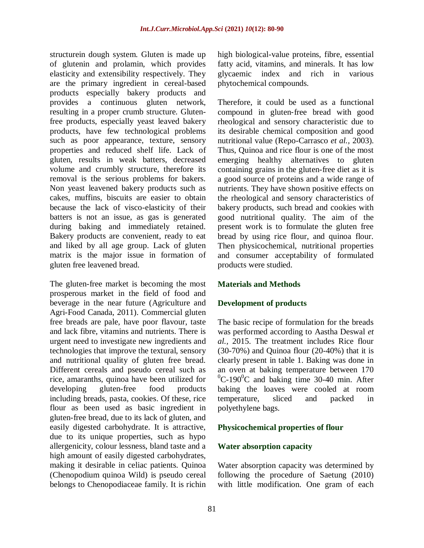structurein dough system. Gluten is made up of glutenin and prolamin, which provides elasticity and extensibility respectively. They are the primary ingredient in cereal-based products especially bakery products and provides a continuous gluten network, resulting in a proper crumb structure. Glutenfree products, especially yeast leaved bakery products, have few technological problems such as poor appearance, texture, sensory properties and reduced shelf life. Lack of gluten, results in weak batters, decreased volume and crumbly structure, therefore its removal is the serious problems for bakers. Non yeast leavened bakery products such as cakes, muffins, biscuits are easier to obtain because the lack of visco-elasticity of their batters is not an issue, as gas is generated during baking and immediately retained. Bakery products are convenient, ready to eat and liked by all age group. Lack of gluten matrix is the major issue in formation of gluten free leavened bread.

The gluten-free market is becoming the most prosperous market in the field of food and beverage in the near future (Agriculture and Agri-Food Canada, 2011). Commercial gluten free breads are pale, have poor flavour, taste and lack fibre, vitamins and nutrients. There is urgent need to investigate new ingredients and technologies that improve the textural, sensory and nutritional quality of gluten free bread. Different cereals and pseudo cereal such as rice, amaranths, quinoa have been utilized for developing gluten-free food products including breads, pasta, cookies. Of these, rice flour as been used as basic ingredient in gluten-free bread, due to its lack of gluten, and easily digested carbohydrate. It is attractive, due to its unique properties, such as hypo allergenicity, colour lessness, bland taste and a high amount of easily digested carbohydrates, making it desirable in celiac patients. Quinoa (Chenopodium quinoa Wild) is pseudo cereal belongs to Chenopodiaceae family. It is richin

high biological-value proteins, fibre, essential fatty acid, vitamins, and minerals. It has low glycaemic index and rich in various phytochemical compounds.

Therefore, it could be used as a functional compound in gluten‐free bread with good rheological and sensory characteristic due to its desirable chemical composition and good nutritional value (Repo-Carrasco *et al.,* 2003). Thus, Quinoa and rice flour is one of the most emerging healthy alternatives to gluten containing grains in the gluten-free diet as it is a good source of proteins and a wide range of nutrients. They have shown positive effects on the rheological and sensory characteristics of bakery products, such bread and cookies with good nutritional quality. The aim of the present work is to formulate the gluten free bread by using rice flour, and quinoa flour. Then physicochemical, nutritional properties and consumer acceptability of formulated products were studied.

## **Materials and Methods**

## **Development of products**

The basic recipe of formulation for the breads was performed according to Aastha Deswal *et al.,* 2015. The treatment includes Rice flour (30-70%) and Quinoa flour (20-40%) that it is clearly present in table 1. Baking was done in an oven at baking temperature between 170  $^{0}$ C-190<sup>0</sup>C and baking time 30-40 min. After baking the loaves were cooled at room temperature, sliced and packed in polyethylene bags.

## **Physicochemical properties of flour**

## **Water absorption capacity**

Water absorption capacity was determined by following the procedure of Saetung (2010) with little modification. One gram of each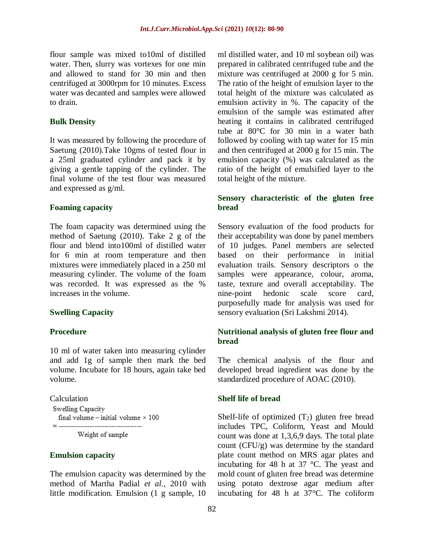flour sample was mixed to10ml of distilled water. Then, slurry was vortexes for one min and allowed to stand for 30 min and then centrifuged at 3000rpm for 10 minutes. Excess water was decanted and samples were allowed to drain.

#### **Bulk Density**

It was measured by following the procedure of Saetung (2010).Take 10gms of tested flour in a 25ml graduated cylinder and pack it by giving a gentle tapping of the cylinder. The final volume of the test flour was measured and expressed as g/ml.

#### **Foaming capacity**

The foam capacity was determined using the method of Saetung (2010). Take 2 g of the flour and blend into100ml of distilled water for 6 min at room temperature and then mixtures were immediately placed in a 250 ml measuring cylinder. The volume of the foam was recorded. It was expressed as the % increases in the volume.

#### **Swelling Capacity**

### **Procedure**

10 ml of water taken into measuring cylinder and add 1g of sample then mark the bed volume. Incubate for 18 hours, again take bed volume.

Calculation **Swelling Capacity** final volume - initial volume  $\times$  100 Weight of sample

#### **Emulsion capacity**

The emulsion capacity was determined by the method of Martha Padial *et al.,* 2010 with little modification. Emulsion (1 g sample, 10

ml distilled water, and 10 ml soybean oil) was prepared in calibrated centrifuged tube and the mixture was centrifuged at 2000 g for 5 min. The ratio of the height of emulsion layer to the total height of the mixture was calculated as emulsion activity in %. The capacity of the emulsion of the sample was estimated after heating it contains in calibrated centrifuged tube at 80°C for 30 min in a water bath followed by cooling with tap water for 15 min and then centrifuged at 2000 g for 15 min. The emulsion capacity (%) was calculated as the ratio of the height of emulsified layer to the total height of the mixture.

## **Sensory characteristic of the gluten free bread**

Sensory evaluation of the food products for their acceptability was done by panel members of 10 judges. Panel members are selected based on their performance in initial evaluation trails. Sensory descriptors o the samples were appearance, colour, aroma, taste, texture and overall acceptability. The nine-point hedonic scale score card, purposefully made for analysis was used for sensory evaluation (Sri Lakshmi 2014).

## **Nutritional analysis of gluten free flour and bread**

The chemical analysis of the flour and developed bread ingredient was done by the standardized procedure of AOAC (2010).

#### **Shelf life of bread**

Shelf-life of optimized  $(T_2)$  gluten free bread includes TPC, Coliform, Yeast and Mould count was done at 1,3,6,9 days. The total plate count (CFU/g) was determine by the standard plate count method on MRS agar plates and incubating for 48 h at 37 °C. The yeast and mold count of gluten free bread was determine using potato dextrose agar medium after incubating for 48 h at 37°C. The coliform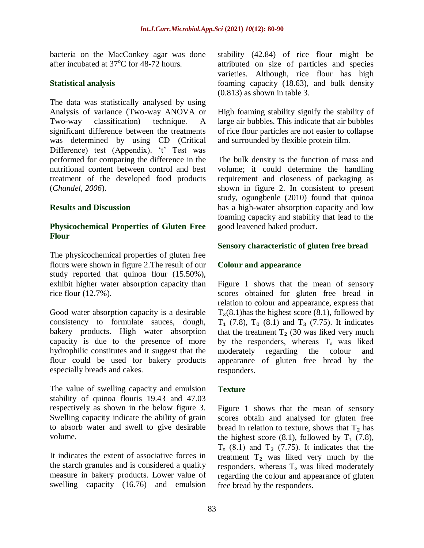bacteria on the MacConkey agar was done after incubated at  $37^{\circ}$ C for 48-72 hours.

## **Statistical analysis**

The data was statistically analysed by using Analysis of variance (Two-way ANOVA or Two-way classification) technique. A significant difference between the treatments was determined by using CD (Critical Difference) test (Appendix). 't' Test was performed for comparing the difference in the nutritional content between control and best treatment of the developed food products (*Chandel, 2006*).

## **Results and Discussion**

## **Physicochemical Properties of Gluten Free Flour**

The physicochemical properties of gluten free flours were shown in figure 2.The result of our study reported that quinoa flour (15.50%), exhibit higher water absorption capacity than rice flour (12.7%).

Good water absorption capacity is a desirable consistency to formulate sauces, dough, bakery products. High water absorption capacity is due to the presence of more hydrophilic constitutes and it suggest that the flour could be used for bakery products especially breads and cakes.

The value of swelling capacity and emulsion stability of quinoa flouris 19.43 and 47.03 respectively as shown in the below figure 3. Swelling capacity indicate the ability of grain to absorb water and swell to give desirable volume.

It indicates the extent of associative forces in the starch granules and is considered a quality measure in bakery products. Lower value of swelling capacity (16.76) and emulsion

stability (42.84) of rice flour might be attributed on size of particles and species varieties. Although, rice flour has high foaming capacity (18.63), and bulk density (0.813) as shown in table 3.

High foaming stability signify the stability of large air bubbles. This indicate that air bubbles of rice flour particles are not easier to collapse and surrounded by flexible protein film.

The bulk density is the function of mass and volume; it could determine the handling requirement and closeness of packaging as shown in figure 2. In consistent to present study, ogungbenle (2010) found that quinoa has a high-water absorption capacity and low foaming capacity and stability that lead to the good leavened baked product.

## **Sensory characteristic of gluten free bread**

## **Colour and appearance**

Figure 1 shows that the mean of sensory scores obtained for gluten free bread in relation to colour and appearance, express that  $T<sub>2</sub>(8.1)$ has the highest score (8.1), followed by  $T_1$  (7.8),  $T_0$  (8.1) and  $T_3$  (7.75). It indicates that the treatment  $T<sub>2</sub>$  (30 was liked very much by the responders, whereas  $T<sub>o</sub>$  was liked moderately regarding the colour and appearance of gluten free bread by the responders.

## **Texture**

Figure 1 shows that the mean of sensory scores obtain and analysed for gluten free bread in relation to texture, shows that  $T_2$  has the highest score  $(8.1)$ , followed by T<sub>1</sub>  $(7.8)$ ,  $T<sub>o</sub>$  (8.1) and  $T<sub>3</sub>$  (7.75). It indicates that the treatment  $T_2$  was liked very much by the responders, whereas  $T<sub>o</sub>$  was liked moderately regarding the colour and appearance of gluten free bread by the responders.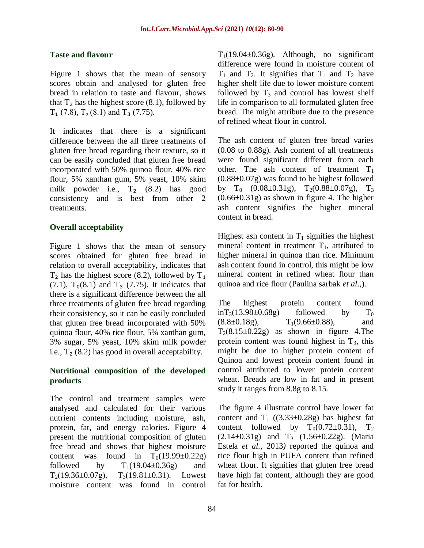## **Taste and flavour**

Figure 1 shows that the mean of sensory scores obtain and analysed for gluten free bread in relation to taste and flavour, shows that  $T_2$  has the highest score (8.1), followed by  $T_1$  (7.8),  $T_0$  (8.1) and  $T_3$  (7.75).

It indicates that there is a significant difference between the all three treatments of gluten free bread regarding their texture, so it can be easily concluded that gluten free bread incorporated with 50% quinoa flour, 40% rice flour, 5% xanthan gum, 5% yeast, 10% skim milk powder i.e.,  $T_2$  (8.2) has good consistency and is best from other 2 treatments.

## **Overall acceptability**

Figure 1 shows that the mean of sensory scores obtained for gluten free bread in relation to overall acceptability, indicates that  $T_2$  has the highest score (8.2), followed by  $T_1$  $(7.1)$ ,  $T_0(8.1)$  and  $T_3$  (7.75). It indicates that there is a significant difference between the all three treatments of gluten free bread regarding their consistency, so it can be easily concluded that gluten free bread incorporated with 50% quinoa flour, 40% rice flour, 5% xanthan gum, 3% sugar, 5% yeast, 10% skim milk powder i.e.,  $T_2$  (8.2) has good in overall acceptability.

## **Nutritional composition of the developed products**

The control and treatment samples were analysed and calculated for their various nutrient contents including moisture, ash, protein, fat, and energy calories. Figure 4 present the nutritional composition of gluten free bread and shows that highest moisture content was found in  $T_0(19.99\pm 0.22g)$ followed by  $T_1(19.04\pm 0.36g)$  and  $T_2(19.36\pm0.07g)$ ,  $T_3(19.81\pm0.31)$ . Lowest moisture content was found in control

 $T_1(19.04\pm 0.36g)$ . Although, no significant difference were found in moisture content of  $T_1$  and  $T_2$ . It signifies that  $T_1$  and  $T_2$  have higher shelf life due to lower moisture content followed by  $T_3$  and control has lowest shelf life in comparison to all formulated gluten free bread. The might attribute due to the presence of refined wheat flour in control.

The ash content of gluten free bread varies (0.08 to 0.88g). Ash content of all treatments were found significant different from each other. The ash content of treatment  $T_1$ (0.88±0.07g) was found to be highest followed by  $T_0$  (0.08±0.31g),  $T_2(0.88\pm0.07g)$ ,  $T_3$  $(0.66\pm0.31g)$  as shown in figure 4. The higher ash content signifies the higher mineral content in bread.

Highest ash content in  $T_1$  signifies the highest mineral content in treatment  $T_1$ , attributed to higher mineral in quinoa than rice. Minimum ash content found in control, this might be low mineral content in refined wheat flour than quinoa and rice flour (Paulina sarbak *et al*.*,*).

The highest protein content found  $inT_3(13.98\pm0.68g)$  followed by  $T_0$  $(8.8\pm0.18g),$   $T_1(9.66\pm0.88),$  and  $T_2(8.15\pm0.22g)$  as shown in figure 4. The protein content was found highest in  $T_3$ , this might be due to higher protein content of Quinoa and lowest protein content found in control attributed to lower protein content wheat. Breads are low in fat and in present study it ranges from 8.8g to 8.15.

The figure 4 illustrate control have lower fat content and  $T_1$  ((3.33±0.28g) has highest fat content followed by  $T_0(0.72\pm0.31)$ ,  $T_2$  $(2.14\pm0.31g)$  and T<sub>3</sub>  $(1.56\pm0.22g)$ . (Maria Estela *et al.,* 2013*)* reported the quinoa and rice flour high in PUFA content than refined wheat flour. It signifies that gluten free bread have high fat content, although they are good fat for health.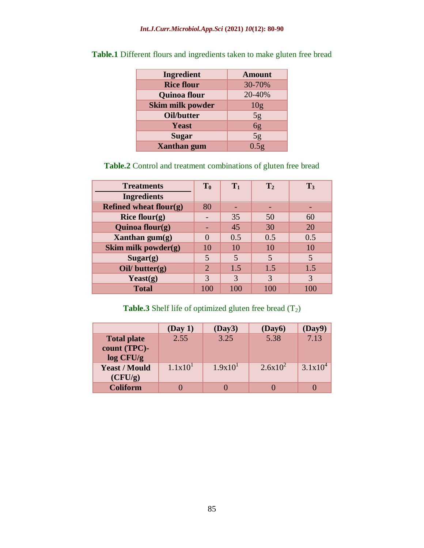| <b>Ingredient</b>       | <b>Amount</b>   |
|-------------------------|-----------------|
| <b>Rice flour</b>       | 30-70%          |
| <b>Quinoa flour</b>     | 20-40%          |
| <b>Skim milk powder</b> | 10 <sub>g</sub> |
| Oil/butter              | 5g              |
| <b>Yeast</b>            | $\overline{6g}$ |
| <b>Sugar</b>            | 5g              |
| <b>Xanthan</b> gum      | 0.5g            |

**Table.1** Different flours and ingredients taken to make gluten free bread

# **Table.2** Control and treatment combinations of gluten free bread

| <b>Treatments</b>      | T <sub>0</sub> | $T_1$          | $\mathbf{T}_2$          | $T_3$ |
|------------------------|----------------|----------------|-------------------------|-------|
| <b>Ingredients</b>     |                |                |                         |       |
| Refined wheat flour(g) | 80             |                |                         |       |
| Rice flour $(g)$       |                | 35             | 50                      | 60    |
| Quinoa flour $(g)$     |                | 45             | 30                      | 20    |
| Xanthan $gum(g)$       |                | 0.5            | 0.5                     | 0.5   |
| Skim milk powder $(g)$ | 10             | 10             | 10                      | 10    |
| Sugar(g)               | 5              | $\overline{5}$ | $\overline{\mathbf{5}}$ | 5     |
| Oil/ $butter(g)$       | 2              | 1.5            | 1.5                     | 1.5   |
| Yeast $(g)$            | 3              | 3              | 3                       | 3     |
| <b>Total</b>           | 100            | 100            | 100                     | 100   |

# **Table.3** Shelf life of optimized gluten free bread (T<sub>2</sub>)

|                                                 | (Day 1)             | (Day3)              | (Day6)     | (Day9)       |
|-------------------------------------------------|---------------------|---------------------|------------|--------------|
| <b>Total plate</b><br>count (TPC)-<br>log CFU/g | 2.55                | 3.25                | 5.38       | 7.13         |
| <b>Yeast / Mould</b><br>(CFU/g)                 | 1.1x10 <sup>1</sup> | 1.9x10 <sup>1</sup> | $2.6x10^2$ | $3.1x10^{4}$ |
| <b>Coliform</b>                                 |                     |                     |            |              |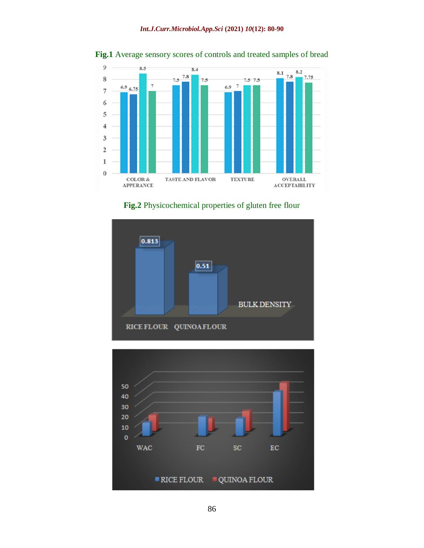

**Fig.1** Average sensory scores of controls and treated samples of bread





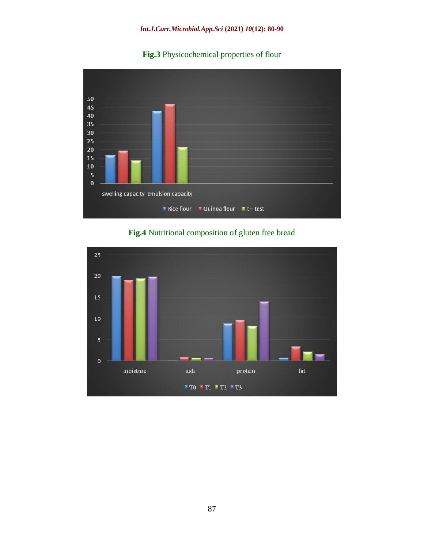



**Fig.4** Nutritional composition of gluten free bread

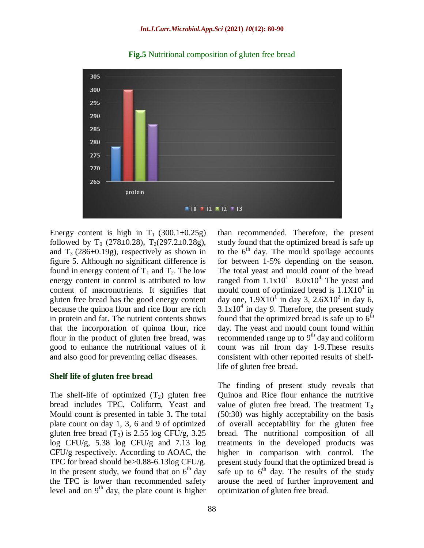

**Fig.5** Nutritional composition of gluten free bread

Energy content is high in  $T_1$  (300.1 $\pm$ 0.25g) followed by  $T_0$  (278±0.28),  $T_2$ (297.2±0.28g), and  $T_3$  (286 $\pm$ 0.19g), respectively as shown in figure 5. Although no significant difference is found in energy content of  $T_1$  and  $T_2$ . The low energy content in control is attributed to low content of macronutrients. It signifies that gluten free bread has the good energy content because the quinoa flour and rice flour are rich in protein and fat. The nutrient contents shows that the incorporation of quinoa flour, rice flour in the product of gluten free bread, was good to enhance the nutritional values of it and also good for preventing celiac diseases.

#### **Shelf life of gluten free bread**

The shelf-life of optimized  $(T_2)$  gluten free bread includes TPC, Coliform, Yeast and Mould count is presented in table 3**.** The total plate count on day 1, 3, 6 and 9 of optimized gluten free bread  $(T_2)$  is 2.55 log CFU/g, 3.25 log CFU/g, 5.38 log CFU/g and 7.13 log CFU/g respectively. According to AOAC, the TPC for bread should be>0.88-6.13log CFU/g. In the present study, we found that on  $6<sup>th</sup>$  day the TPC is lower than recommended safety level and on  $9<sup>th</sup>$  day, the plate count is higher

than recommended. Therefore, the present study found that the optimized bread is safe up to the  $6<sup>th</sup>$  day. The mould spoilage accounts for between 1-5% depending on the season. The total yeast and mould count of the bread ranged from  $1.1x10^1 - 8.0x10^4$ . The yeast and mould count of optimized bread is  $1.1X10<sup>1</sup>$  in day one,  $1.9X10^{1}$  in day 3,  $2.6X10^{2}$  in day 6,  $3.1x10<sup>4</sup>$  in day 9. Therefore, the present study found that the optimized bread is safe up to  $6<sup>th</sup>$ day. The yeast and mould count found within recommended range up to  $9<sup>th</sup>$  day and coliform count was nil from day 1-9.These results consistent with other reported results of shelflife of gluten free bread.

The finding of present study reveals that Quinoa and Rice flour enhance the nutritive value of gluten free bread. The treatment  $T_2$ (50:30) was highly acceptability on the basis of overall acceptability for the gluten free bread. The nutritional composition of all treatments in the developed products was higher in comparison with control. The present study found that the optimized bread is safe up to  $6<sup>th</sup>$  day. The results of the study arouse the need of further improvement and optimization of gluten free bread.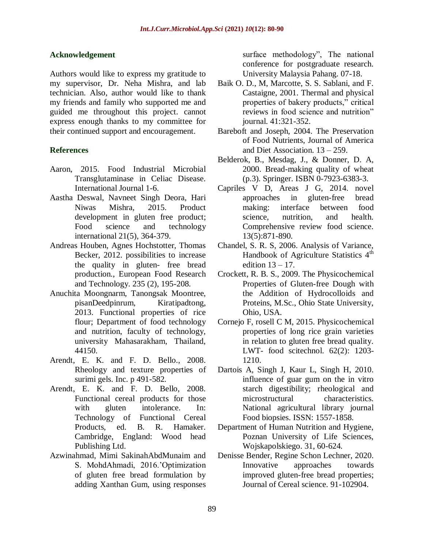### **Acknowledgement**

Authors would like to express my gratitude to my supervisor, Dr. Neha Mishra, and lab technician. Also, author would like to thank my friends and family who supported me and guided me throughout this project. cannot express enough thanks to my committee for their continued support and encouragement.

## **References**

- Aaron, 2015. Food Industrial Microbial Transglutaminase in Celiac Disease. International Journal 1-6.
- Aastha Deswal, Navneet Singh Deora, Hari Niwas Mishra, 2015. Product development in gluten free product; Food science and technology international 21(5), 364-379.
- Andreas Houben, Agnes Hochstotter, Thomas Becker, 2012. possibilities to increase the quality in gluten- free bread production., European Food Research and Technology. 235 (2), 195-208.
- Anuchita Moongnarm, Tanongsak Moontree, pisanDeedpinrum, Kiratipadtong, 2013. Functional properties of rice flour; Department of food technology and nutrition, faculty of technology, university Mahasarakham, Thailand, 44150.
- Arendt, E. K. and F. D. Bello., 2008. Rheology and texture properties of surimi gels. Inc. p 491-582.
- Arendt, E. K. and F. D. Bello, 2008. Functional cereal products for those with gluten intolerance. In: Technology of Functional Cereal Products, ed. B. R. Hamaker. Cambridge, England: Wood head Publishing Ltd.
- Azwinahmad, Mimi SakinahAbdMunaim and S. MohdAhmadi, 2016."Optimization of gluten free bread formulation by adding Xanthan Gum, using responses

surface methodology", The national conference for postgraduate research. University Malaysia Pahang. 07-18.

- Baik O. D., M, Marcotte, S. S. Sablani, and F. Castaigne, 2001. Thermal and physical properties of bakery products," critical reviews in food science and nutrition" journal. 41:321-352.
- Bareboft and Joseph, 2004. The Preservation of Food Nutrients, Journal of America and Diet Association. 13 – 259.
- Belderok, B., Mesdag, J., & Donner, D. A, 2000. Bread-making quality of wheat (p.3). Springer. ISBN 0-7923-6383-3.
- Capriles V D, Areas J G, 2014. novel approaches in gluten-free bread making: interface between food science, nutrition, and health. Comprehensive review food science. 13(5):871-890.
- Chandel, S. R. S, 2006. Analysis of Variance, Handbook of Agriculture Statistics 4<sup>th</sup> edition 13 – 17.
- Crockett, R. B. S., 2009. The Physicochemical Properties of Gluten-free Dough with the Addition of Hydrocolloids and Proteins, M.Sc., Ohio State University, Ohio, USA.
- Cornejo F, rosell C M, 2015. Physicochemical properties of long rice grain varieties in relation to gluten free bread quality. LWT- food scitechnol. 62(2): 1203- 1210.
- Dartois A, Singh J, Kaur L, Singh H, 2010. influence of guar gum on the in vitro starch digestibility; rheological and microstructural characteristics. National agricultural library journal Food biopsies. ISSN: 1557-1858.
- Department of Human Nutrition and Hygiene, Poznan University of Life Sciences, Wojskapolskiego. 31, 60-624.
- Denisse Bender, Regine Schon Lechner, 2020. Innovative approaches towards improved gluten-free bread properties; Journal of Cereal science. 91-102904.